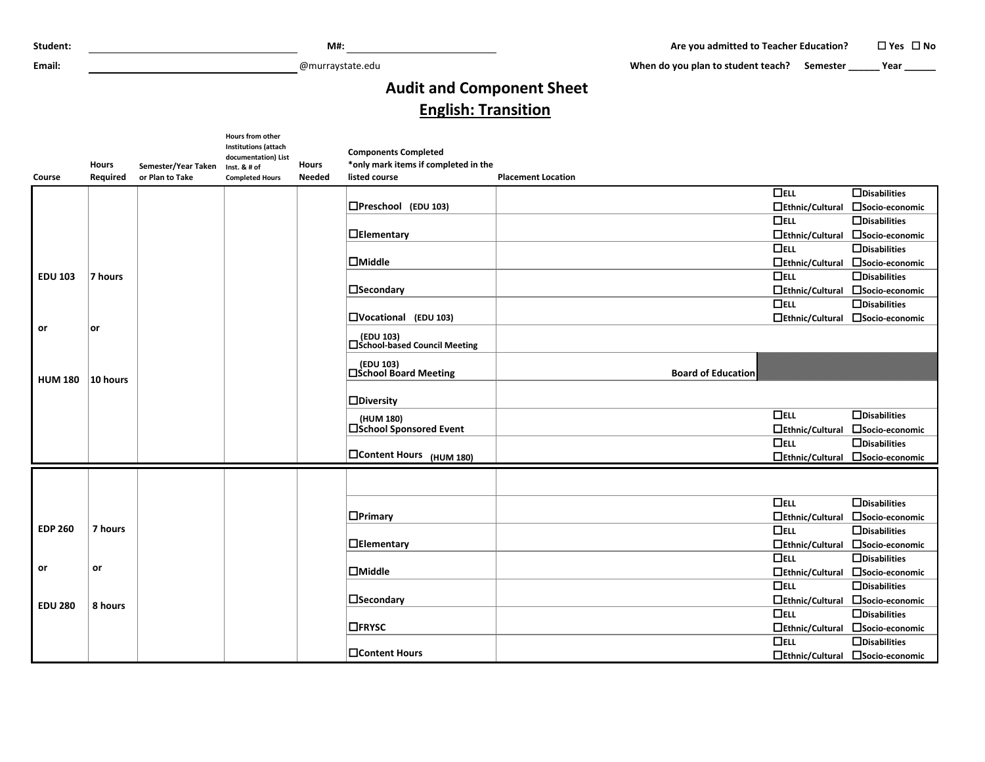**Email:** @murraystate.edu

When do you plan to student teach? Semester **\_\_\_\_\_** Year \_\_\_\_\_\_

## **Audit and Component Sheet English: Transition**

| <b>Course</b>  | <b>Hours</b><br>Required | Semester/Year Taken<br>or Plan to Take | Hours from other<br><b>Institutions (attach</b><br>documentation) List<br>Inst. & # of<br><b>Completed Hours</b> | <b>Hours</b><br><b>Needed</b> | <b>Components Completed</b><br>*only mark items if completed in the<br>listed course | <b>Placement Location</b> |                                  |
|----------------|--------------------------|----------------------------------------|------------------------------------------------------------------------------------------------------------------|-------------------------------|--------------------------------------------------------------------------------------|---------------------------|----------------------------------|
|                |                          |                                        |                                                                                                                  |                               |                                                                                      | $\Box$ ELL                | $\Box$ Disabilities              |
|                |                          |                                        |                                                                                                                  |                               | $D$ Preschool (EDU 103)                                                              | $\Box$ Ethnic/Cultural    | □Socio-economic                  |
|                |                          |                                        |                                                                                                                  |                               |                                                                                      | $\Box$ ELL                | $\Box$ Disabilities              |
|                |                          |                                        |                                                                                                                  |                               | $\Box$ Elementary                                                                    | $\Box$ Ethnic/Cultural    | □Socio-economic                  |
|                |                          |                                        |                                                                                                                  |                               |                                                                                      | $\Box$ ELL                | $\Box$ Disabilities              |
|                |                          |                                        |                                                                                                                  |                               | $\Box$ Middle                                                                        | $\Box$ Ethnic/Cultural    | □Socio-economic                  |
| <b>EDU 103</b> | 7 hours                  |                                        |                                                                                                                  |                               |                                                                                      | $\Box$ ELL                | $\Box$ Disabilities              |
|                |                          |                                        |                                                                                                                  |                               | $\Box$ Secondary                                                                     | $\Box$ Ethnic/Cultural    | □Socio-economic                  |
|                |                          |                                        |                                                                                                                  |                               |                                                                                      | $\Box$ ELL                | $\Box$ Disabilities              |
|                |                          |                                        |                                                                                                                  |                               | □Vocational (EDU 103)                                                                |                           | □Ethnic/Cultural □Socio-economic |
| or             | lor                      |                                        |                                                                                                                  |                               | (EDU 103)<br>□ School-based Council Meeting                                          |                           |                                  |
| <b>HUM 180</b> | 10 hours                 |                                        |                                                                                                                  |                               | (EDU 103)<br><b>□School Board Meeting</b>                                            | <b>Board of Education</b> |                                  |
|                |                          |                                        |                                                                                                                  |                               | $\Box$ Diversity                                                                     |                           |                                  |
|                |                          |                                        |                                                                                                                  |                               | (HUM 180)                                                                            | $\Box$ ELL                | $\Box$ Disabilities              |
|                |                          |                                        |                                                                                                                  |                               | □School Sponsored Event                                                              | $\Box$ Ethnic/Cultural    | □Socio-economic                  |
|                |                          |                                        |                                                                                                                  |                               |                                                                                      | $\Box$ ELL                | $\Box$ Disabilities              |
|                |                          |                                        |                                                                                                                  |                               | □Content Hours (HUM 180)                                                             | □Ethnic/Cultural          | □Socio-economic                  |
|                |                          |                                        |                                                                                                                  |                               |                                                                                      |                           |                                  |
|                |                          |                                        |                                                                                                                  |                               |                                                                                      | $\Box$ ELL                | $\Box$ Disabilities              |
|                |                          |                                        |                                                                                                                  |                               | $\Box$ Primary                                                                       | $\Box$ Ethnic/Cultural    | □Socio-economic                  |
| <b>EDP 260</b> | 7 hours                  |                                        |                                                                                                                  |                               |                                                                                      | $\Box$ ELL                | $\Box$ Disabilities              |
|                |                          |                                        |                                                                                                                  |                               | $\Box$ Elementary                                                                    | $\Box$ Ethnic/Cultural    | □Socio-economic                  |
|                |                          |                                        |                                                                                                                  |                               |                                                                                      | $\Box$ ELL                | $\Box$ Disabilities              |
| or             | or                       |                                        |                                                                                                                  |                               | $\Box$ Middle                                                                        |                           | □Ethnic/Cultural □Socio-economic |
|                |                          |                                        |                                                                                                                  |                               |                                                                                      | $\Box$ ELL                | $\Box$ Disabilities              |
| <b>EDU 280</b> | 8 hours                  |                                        |                                                                                                                  |                               | $\Box$ Secondary                                                                     |                           | □Ethnic/Cultural □Socio-economic |
|                |                          |                                        |                                                                                                                  |                               |                                                                                      | $\Box$ ELL                | $\Box$ Disabilities              |
|                |                          |                                        |                                                                                                                  |                               | $\Box$ FRYSC                                                                         |                           | □Ethnic/Cultural □Socio-economic |
|                |                          |                                        |                                                                                                                  |                               |                                                                                      | $\Box$ ELL                | $\Box$ Disabilities              |
|                |                          |                                        |                                                                                                                  |                               | <b>□Content Hours</b>                                                                |                           | □Ethnic/Cultural □Socio-economic |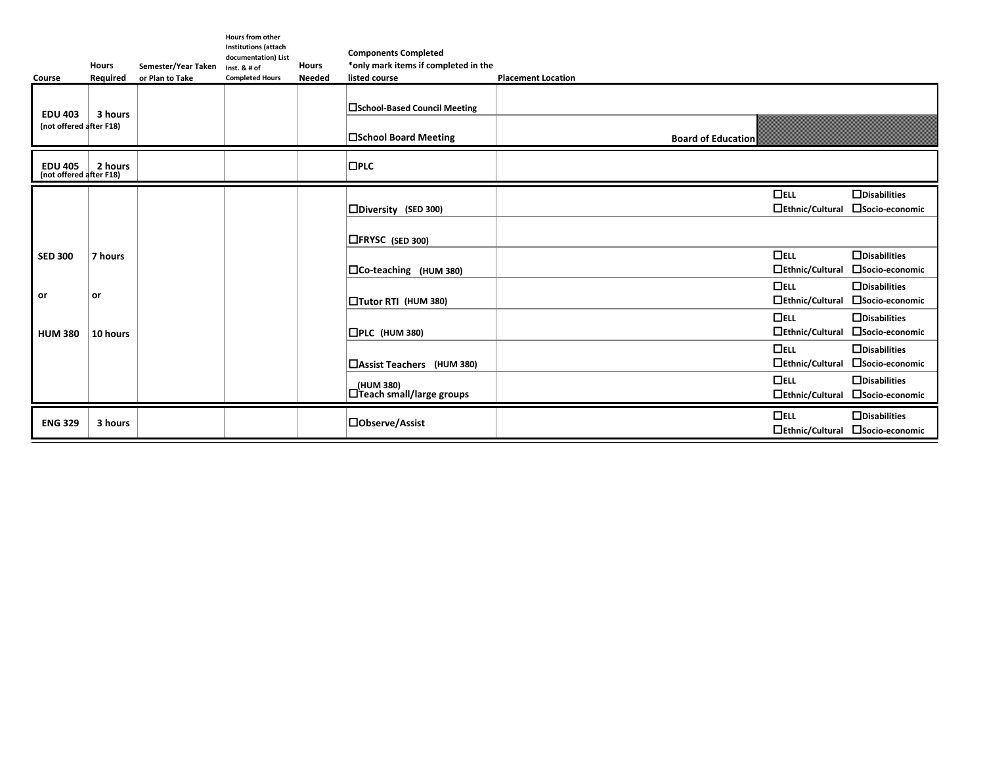|                                           | <b>Hours</b> | Semester/Year Taken | <b>Hours from other</b><br><b>Institutions (attach</b><br>documentation) List<br>Inst. $8#$ of | <b>Hours</b>  | <b>Components Completed</b><br>*only mark items if completed in the |                           |                        |                                  |
|-------------------------------------------|--------------|---------------------|------------------------------------------------------------------------------------------------|---------------|---------------------------------------------------------------------|---------------------------|------------------------|----------------------------------|
| Course                                    | Required     | or Plan to Take     | <b>Completed Hours</b>                                                                         | <b>Needed</b> | listed course                                                       | <b>Placement Location</b> |                        |                                  |
| <b>EDU 403</b>                            | 3 hours      |                     |                                                                                                |               | □School-Based Council Meeting                                       |                           |                        |                                  |
| (not offered after F18)                   |              |                     |                                                                                                |               | □School Board Meeting                                               | <b>Board of Education</b> |                        |                                  |
| <b>EDU 405</b><br>(not offered after F18) | 2 hours      |                     |                                                                                                |               | $\square$ PLC                                                       |                           |                        |                                  |
|                                           |              |                     |                                                                                                |               |                                                                     |                           | $\Box$ ELL             | $\Box$ Disabilities              |
|                                           |              |                     |                                                                                                |               | □Diversity (SED 300)                                                |                           | □Ethnic/Cultural       | □Socio-economic                  |
|                                           |              |                     |                                                                                                |               |                                                                     |                           |                        |                                  |
|                                           |              |                     |                                                                                                |               | $\Box$ FRYSC (SED 300)                                              |                           |                        |                                  |
| <b>SED 300</b>                            | 7 hours      |                     |                                                                                                |               |                                                                     |                           | $\Box$ ELL             | $\Box$ Disabilities              |
|                                           |              |                     |                                                                                                |               | $\Box$ Co-teaching (HUM 380)                                        |                           | $\Box$ Ethnic/Cultural | □Socio-economic                  |
|                                           |              |                     |                                                                                                |               |                                                                     |                           | $\Box$ ELL             | $\Box$ Disabilities              |
| or                                        | or           |                     |                                                                                                |               | □Tutor RTI (HUM 380)                                                |                           | $\Box$ Ethnic/Cultural | □Socio-economic                  |
|                                           |              |                     |                                                                                                |               |                                                                     |                           | $\Box$ ELL             | $\Box$ Disabilities              |
| <b>HUM 380</b>                            | 10 hours     |                     |                                                                                                |               | $\Box$ PLC (HUM 380)                                                |                           | $\Box$ Ethnic/Cultural | □Socio-economic                  |
|                                           |              |                     |                                                                                                |               |                                                                     |                           | $\Box$ ELL             | $\Box$ Disabilities              |
|                                           |              |                     |                                                                                                |               | □Assist Teachers (HUM 380)                                          |                           | $\Box$ Ethnic/Cultural | □Socio-economic                  |
|                                           |              |                     |                                                                                                |               |                                                                     |                           | $\Box$ ELL             | $\Box$ Disabilities              |
|                                           |              |                     |                                                                                                |               | (HUM 380)<br>$\Box$ Teach small/large groups                        |                           | $\Box$ Ethnic/Cultural | □Socio-economic                  |
|                                           |              |                     |                                                                                                |               |                                                                     |                           | $\Box$ ELL             | $\Box$ Disabilities              |
| <b>ENG 329</b>                            | 3 hours      |                     |                                                                                                |               | □Observe/Assist                                                     |                           |                        | □Ethnic/Cultural □Socio-economic |